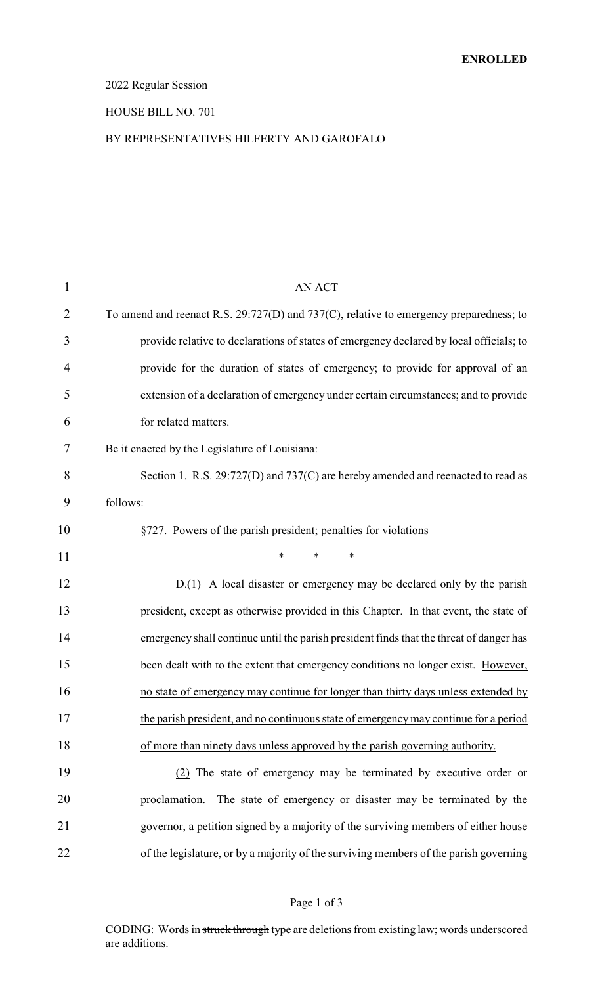## 2022 Regular Session

### HOUSE BILL NO. 701

### BY REPRESENTATIVES HILFERTY AND GAROFALO

| $\mathbf{1}$ | <b>AN ACT</b>                                                                           |
|--------------|-----------------------------------------------------------------------------------------|
| 2            | To amend and reenact R.S. 29:727(D) and 737(C), relative to emergency preparedness; to  |
| 3            | provide relative to declarations of states of emergency declared by local officials; to |
| 4            | provide for the duration of states of emergency; to provide for approval of an          |
| 5            | extension of a declaration of emergency under certain circumstances; and to provide     |
| 6            | for related matters.                                                                    |
| 7            | Be it enacted by the Legislature of Louisiana:                                          |
| 8            | Section 1. R.S. 29:727(D) and 737(C) are hereby amended and reenacted to read as        |
| 9            | follows:                                                                                |
| 10           | §727. Powers of the parish president; penalties for violations                          |
| 11           | $\ast$<br>$\ast$<br>*                                                                   |
| 12           | $D(1)$ A local disaster or emergency may be declared only by the parish                 |
| 13           | president, except as otherwise provided in this Chapter. In that event, the state of    |
| 14           | emergency shall continue until the parish president finds that the threat of danger has |
| 15           | been dealt with to the extent that emergency conditions no longer exist. However,       |
| 16           | no state of emergency may continue for longer than thirty days unless extended by       |
| 17           | the parish president, and no continuous state of emergency may continue for a period    |
| 18           | of more than ninety days unless approved by the parish governing authority.             |
| 19           | (2) The state of emergency may be terminated by executive order or                      |
| 20           | The state of emergency or disaster may be terminated by the<br>proclamation.            |
| 21           | governor, a petition signed by a majority of the surviving members of either house      |
| 22           | of the legislature, or by a majority of the surviving members of the parish governing   |
|              |                                                                                         |

## Page 1 of 3

CODING: Words in struck through type are deletions from existing law; words underscored are additions.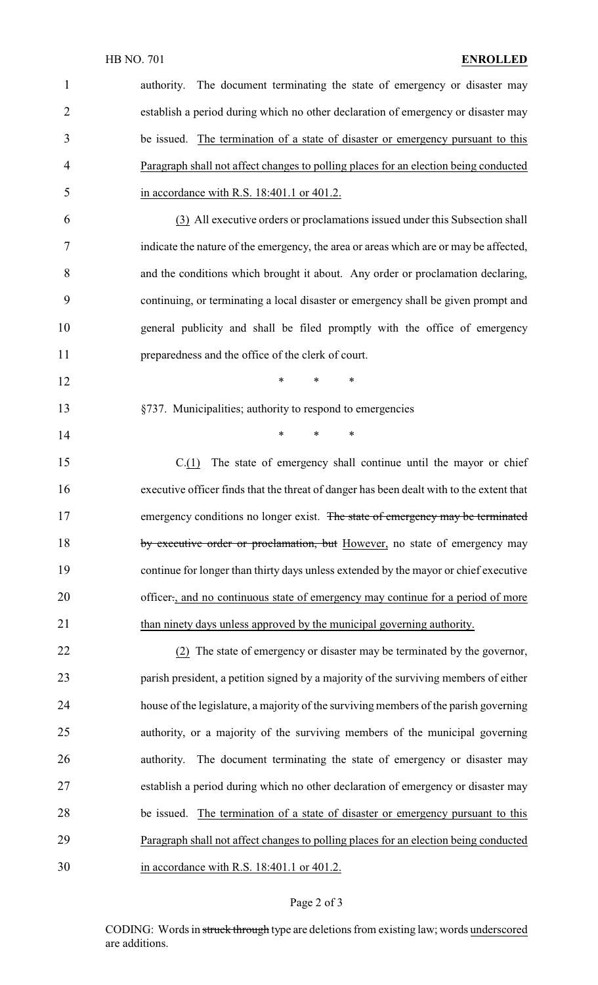| $\mathbf{1}$   | The document terminating the state of emergency or disaster may<br>authority.            |
|----------------|------------------------------------------------------------------------------------------|
| $\overline{2}$ | establish a period during which no other declaration of emergency or disaster may        |
| 3              | be issued. The termination of a state of disaster or emergency pursuant to this          |
| 4              | Paragraph shall not affect changes to polling places for an election being conducted     |
| 5              | in accordance with R.S. 18:401.1 or 401.2.                                               |
| 6              | (3) All executive orders or proclamations issued under this Subsection shall             |
| 7              | indicate the nature of the emergency, the area or areas which are or may be affected,    |
| 8              | and the conditions which brought it about. Any order or proclamation declaring,          |
| 9              | continuing, or terminating a local disaster or emergency shall be given prompt and       |
| 10             | general publicity and shall be filed promptly with the office of emergency               |
| 11             | preparedness and the office of the clerk of court.                                       |
| 12             | $\ast$<br>$\ast$<br>$\ast$                                                               |
| 13             | §737. Municipalities; authority to respond to emergencies                                |
| 14             | $\ast$<br>$\ast$<br>∗                                                                    |
| 15             | The state of emergency shall continue until the mayor or chief<br>C(1)                   |
| 16             | executive officer finds that the threat of danger has been dealt with to the extent that |
| 17             | emergency conditions no longer exist. The state of emergency may be terminated           |
| 18             | by executive order or proclamation, but However, no state of emergency may               |
| 19             | continue for longer than thirty days unless extended by the mayor or chief executive     |
| 20             | officer., and no continuous state of emergency may continue for a period of more         |
| 21             | than ninety days unless approved by the municipal governing authority.                   |
| 22             | (2) The state of emergency or disaster may be terminated by the governor,                |
| 23             | parish president, a petition signed by a majority of the surviving members of either     |
| 24             | house of the legislature, a majority of the surviving members of the parish governing    |
| 25             | authority, or a majority of the surviving members of the municipal governing             |
| 26             | authority. The document terminating the state of emergency or disaster may               |
| 27             | establish a period during which no other declaration of emergency or disaster may        |
| 28             | be issued. The termination of a state of disaster or emergency pursuant to this          |
| 29             | Paragraph shall not affect changes to polling places for an election being conducted     |
| 30             | in accordance with R.S. 18:401.1 or 401.2.                                               |

# Page 2 of 3

CODING: Words in struck through type are deletions from existing law; words underscored are additions.